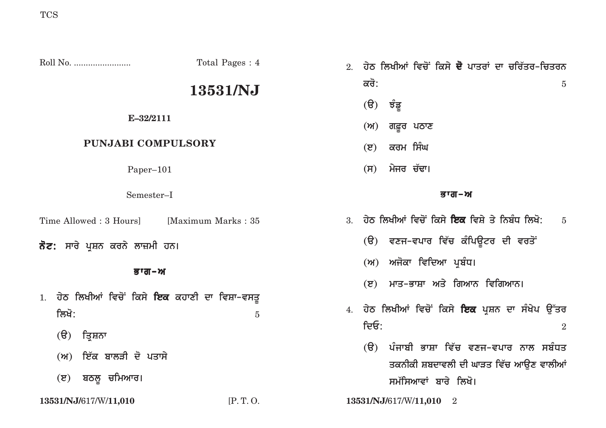|                                                     | Total Pages: 4      | ਹੇਠ ਲਿਖੀਆਂ ਵਿਚੋਂ ਕਿਸੇ <b>ਦੋ</b> ਪਾਤਰਾਂ ਦਾ ਚਰਿੱਤਰ–ਚਿਤਰਨ<br>2.                                  |
|-----------------------------------------------------|---------------------|-----------------------------------------------------------------------------------------------|
| 13531/NJ                                            |                     | ਕਰੋ:<br>$\overline{5}$                                                                        |
| E-32/2111                                           |                     | $(\theta)$<br>ਝੰਡੂ<br>ਗਫ਼ੂਰ ਪਠਾਣ<br>(M)                                                       |
| PUNJABI COMPULSORY                                  |                     | ਕਰਮ ਸਿੰਘ<br>$(\mathbf{z})$                                                                    |
| Paper-101                                           |                     | ਮੇਜਰ ਚੱਢਾ।<br>(H)                                                                             |
| Semester-I                                          |                     | ਭਾਗ-ਅ                                                                                         |
| Time Allowed : 3 Hours]                             | [Maximum Marks: 35] | 3. ਹੇਠ ਲਿਖੀਆਂ ਵਿਚੋਂ ਕਿਸੇ <b>ਇਕ</b> ਵਿਸ਼ੇ ਤੇ ਨਿਬੰਧ ਲਿਖੋ:<br>$\overline{5}$                     |
| <b>ਨੋਟ:</b> ਸਾਰੇ ਪੁਸ਼ਨ ਕਰਨੇ ਲਾਜ਼ਮੀ ਹਨ।              |                     | (ੳ) ਵਣਜ <sup>ੁ</sup> ਵਪਾਰ ਵਿੱਚ ਕੰਪਿਊਟਰ ਦੀ ਵਰਤੋਂ                                               |
| ਭਾਗ–ਅ                                               |                     | (ਅ) ਅਜੋਕਾ ਵਿਦਿਆ ਪ੍ਰਬੰਧ।                                                                       |
| ਹੇਠ ਲਿਖੀਆਂ ਵਿਚੋਂ ਕਿਸੇ <b>ਇਕ</b> ਕਹਾਣੀ ਦਾ ਵਿਸ਼ਾ–ਵਸਤੁ |                     | ਮਾਤ–ਭਾਸ਼ਾ ਅਤੇ ਗਿਆਨ ਵਿਗਿਆਨ।<br>(5)<br>4. ਹੇਠ ਲਿਖੀਆਂ ਵਿਚੋਂ ਕਿਸੇ <b>ਇਕ</b> ਪ੍ਰਸ਼ਨ ਦਾ ਸੰਖੇਪ ਉੱਤਰ  |
| ਲਿਖੋ:<br>$(\theta)$<br>ਤ੍ਰਿਸ਼ਨਾ                     | $\overline{5}$      | ਦਿਓ:<br>$\overline{2}$                                                                        |
| ਇੱਕ ਬਾਲੜੀ ਦੋ ਪਤਾਸੇ<br>(M)                           |                     | ਪੰਜਾਬੀ ਭਾਸ਼ਾ ਵਿੱਚ ਵਣਜ–ਵਪਾਰ ਨਾਲ ਸਬੰਧਤ<br>$(\theta)$<br>ਤਕਨੀਕੀ ਸ਼ਬਦਾਵਲੀ ਦੀ ਘਾੜਤ ਵਿੱਚ ਆਉਣ ਵਾਲੀਆਂ |
| ਬਠਲੁ ਚਮਿਆਰ।<br>(5)                                  |                     | ਸਮੱਸਿਆਵਾਂ ਬਾਰੇ ਲਿਖੋ।                                                                          |

**13531/NJ/**617/W/**11,010** [P. T. O. **13531/NJ/**617/W/**11,010** 2